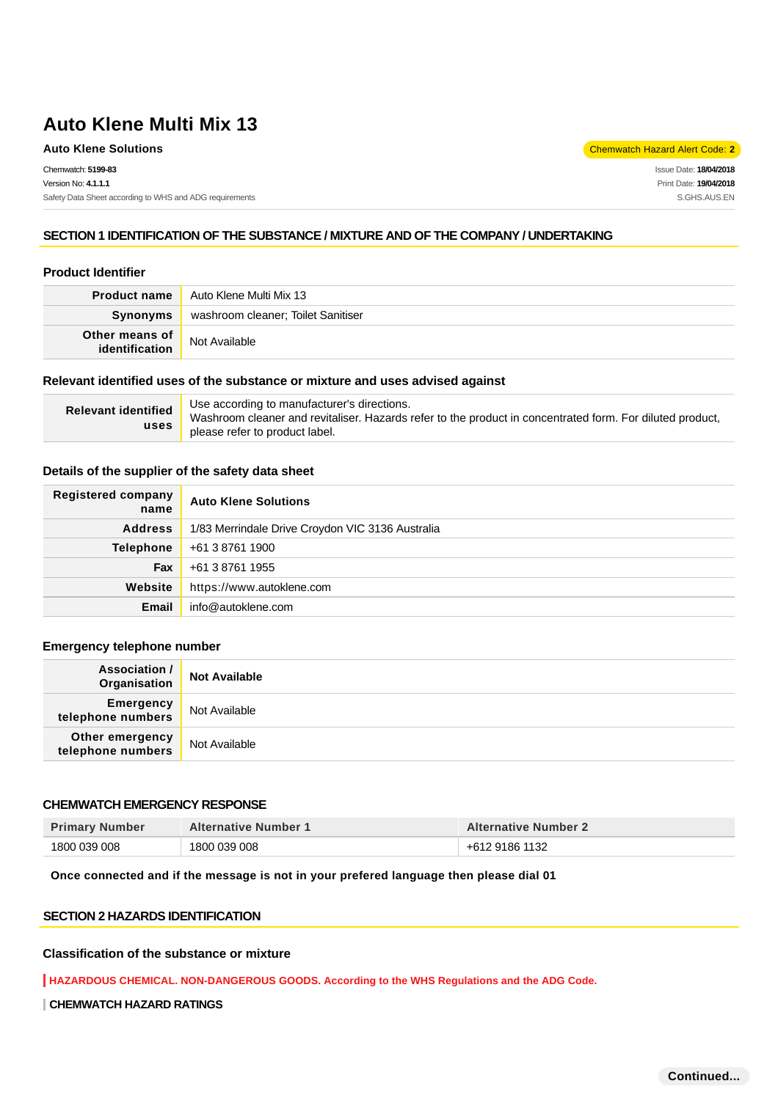Chemwatch: **5199-83** Version No: **4.1.1.1** Safety Data Sheet according to WHS and ADG requirements

**Auto Klene Solutions** Chemwatch Hazard Alert Code: 2<sup>1</sup>

Issue Date: **18/04/2018** Print Date: **19/04/2018** S.GHS.AUS.EN

#### **SECTION 1 IDENTIFICATION OF THE SUBSTANCE / MIXTURE AND OF THE COMPANY / UNDERTAKING**

### **Product Identifier**

| <b>Product name</b> | Auto Klene Multi Mix 13            |  |
|---------------------|------------------------------------|--|
| Synonyms            | washroom cleaner; Toilet Sanitiser |  |
| Other means of      | Not Available                      |  |

#### **Relevant identified uses of the substance or mixture and uses advised against**

| <b>Relevant identified</b><br>uses | Use according to manufacturer's directions.<br>Washroom cleaner and revitaliser. Hazards refer to the product in concentrated form. For diluted product,<br>please refer to product label. |
|------------------------------------|--------------------------------------------------------------------------------------------------------------------------------------------------------------------------------------------|
|------------------------------------|--------------------------------------------------------------------------------------------------------------------------------------------------------------------------------------------|

#### **Details of the supplier of the safety data sheet**

| Registered company<br>name | <b>Auto Klene Solutions</b>                      |
|----------------------------|--------------------------------------------------|
| <b>Address</b>             | 1/83 Merrindale Drive Croydon VIC 3136 Australia |
| <b>Telephone</b>           | +61 3 8761 1900                                  |
| Fax                        | +61 3 8761 1955                                  |
| Website                    | https://www.autoklene.com                        |
| Email                      | info@autoklene.com                               |

#### **Emergency telephone number**

| <b>Association /</b><br>Organisation | <b>Not Available</b> |
|--------------------------------------|----------------------|
| Emergency<br>telephone numbers       | Not Available        |
| Other emergency<br>telephone numbers | Not Available        |

#### **CHEMWATCH EMERGENCY RESPONSE**

| <b>Primary Number</b> | <b>Alternative Number 1</b> | <b>Alternative Number 2</b> |
|-----------------------|-----------------------------|-----------------------------|
| 1800 039 008          | 1800 039 008                | +612 9186 1132              |

#### **Once connected and if the message is not in your prefered language then please dial 01**

#### **SECTION 2 HAZARDS IDENTIFICATION**

#### **Classification of the substance or mixture**

**HAZARDOUS CHEMICAL. NON-DANGEROUS GOODS. According to the WHS Regulations and the ADG Code.**

**CHEMWATCH HAZARD RATINGS**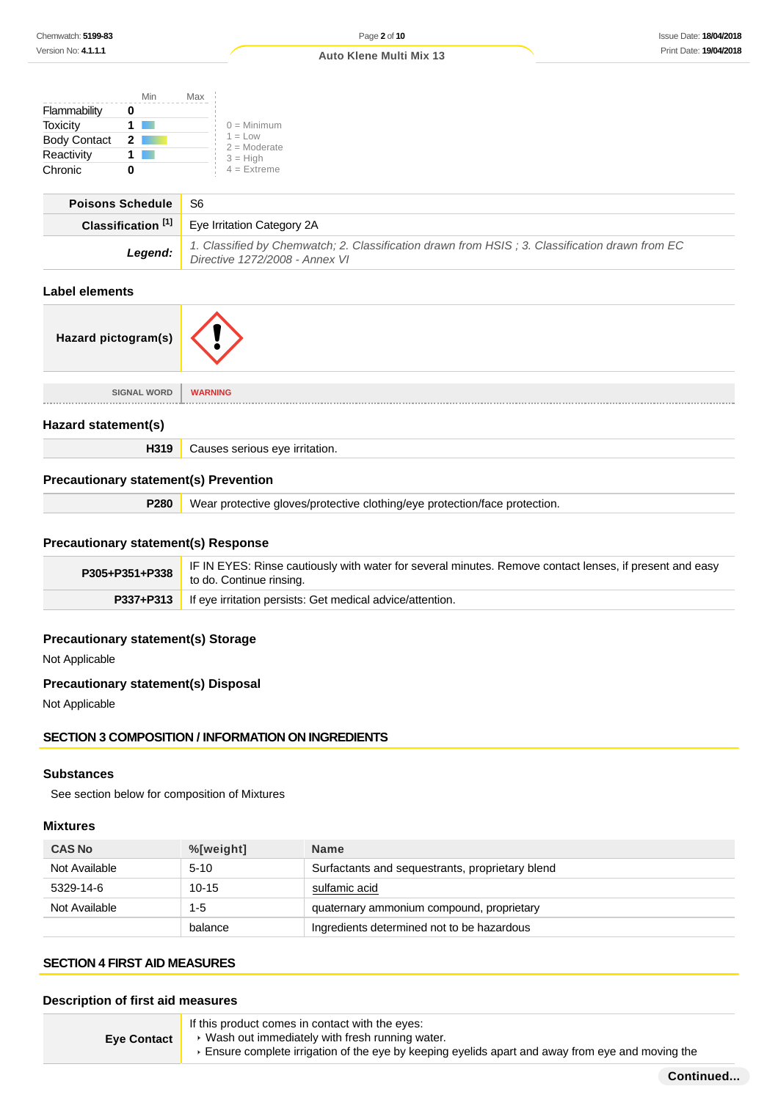|                     | Min | Max                         |
|---------------------|-----|-----------------------------|
| Flammability        |     |                             |
| Toxicity            |     | $0 =$ Minimum               |
| <b>Body Contact</b> | 2   | $1 = Low$<br>$2 =$ Moderate |
| Reactivity          |     | $3 = High$                  |
| Chronic             |     | $4$ = Extreme               |

| <b>Poisons Schedule</b> | - S6                                                                                                                             |
|-------------------------|----------------------------------------------------------------------------------------------------------------------------------|
|                         | <b>Classification</b> $^{[1]}$ Eye Irritation Category 2A                                                                        |
| Legend:                 | 1. Classified by Chemwatch; 2. Classification drawn from HSIS; 3. Classification drawn from EC<br>Directive 1272/2008 - Annex VI |

# **Label elements**

| Hazard pictogram(s) |                |
|---------------------|----------------|
| <b>SIGNAL WORD</b>  | <b>WARNING</b> |

#### **Hazard statement(s)**

**H319** Causes serious eye irritation.

### **Precautionary statement(s) Prevention**

**P280** Wear protective gloves/protective clothing/eye protection/face protection.

### **Precautionary statement(s) Response**

| $P305+P351+P338$ | IF IN EYES: Rinse cautiously with water for several minutes. Remove contact lenses, if present and easy<br>to do. Continue rinsing. |
|------------------|-------------------------------------------------------------------------------------------------------------------------------------|
|                  | <b>P337+P313</b> If eye irritation persists: Get medical advice/attention.                                                          |

# **Precautionary statement(s) Storage**

Not Applicable

# **Precautionary statement(s) Disposal**

Not Applicable

### **SECTION 3 COMPOSITION / INFORMATION ON INGREDIENTS**

#### **Substances**

See section below for composition of Mixtures

### **Mixtures**

| <b>CAS No</b> | $%$ [weight] | <b>Name</b>                                     |
|---------------|--------------|-------------------------------------------------|
| Not Available | $5 - 10$     | Surfactants and sequestrants, proprietary blend |
| 5329-14-6     | $10 - 15$    | sulfamic acid                                   |
| Not Available | $1 - 5$      | quaternary ammonium compound, proprietary       |
|               | balance      | Ingredients determined not to be hazardous      |

### **SECTION 4 FIRST AID MEASURES**

# **Description of first aid measures**

| <b>Eve Contact</b> | If this product comes in contact with the eyes:<br>► Wash out immediately with fresh running water.<br>Ensure complete irrigation of the eye by keeping eyelids apart and away from eye and moving the |
|--------------------|--------------------------------------------------------------------------------------------------------------------------------------------------------------------------------------------------------|
|--------------------|--------------------------------------------------------------------------------------------------------------------------------------------------------------------------------------------------------|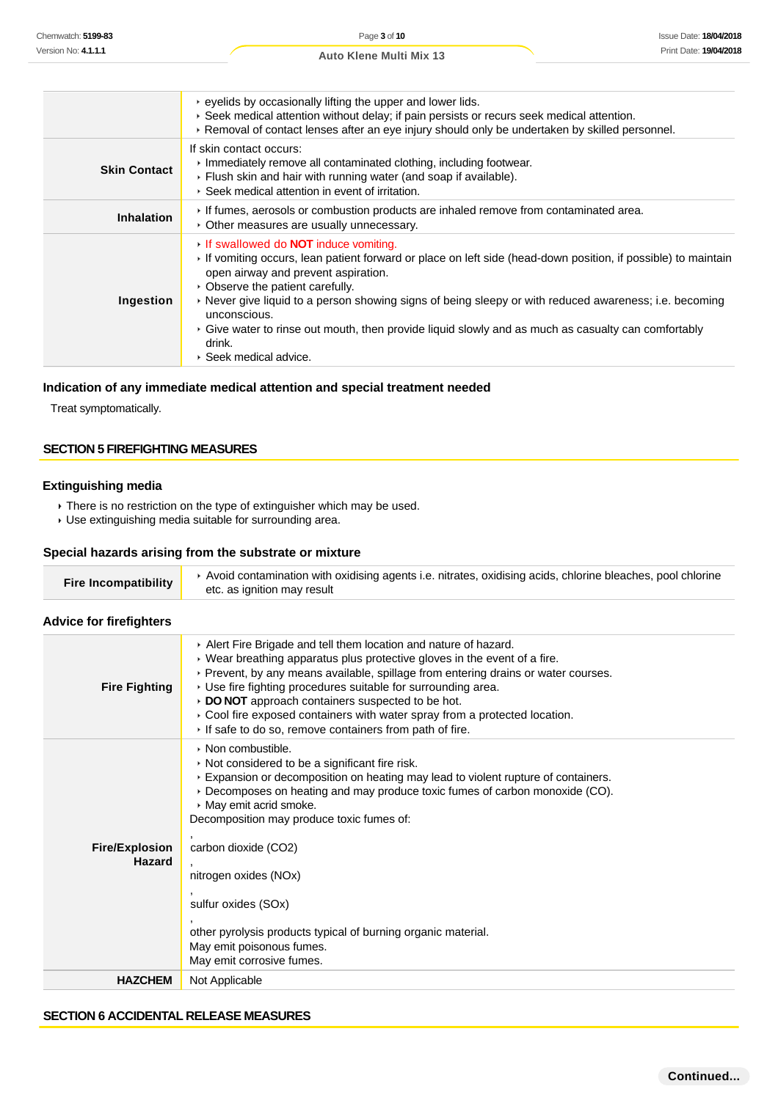|                     | $\cdot$ eyelids by occasionally lifting the upper and lower lids.<br>▶ Seek medical attention without delay; if pain persists or recurs seek medical attention.<br>▶ Removal of contact lenses after an eye injury should only be undertaken by skilled personnel.                                                                                                                                                                                                                                                |
|---------------------|-------------------------------------------------------------------------------------------------------------------------------------------------------------------------------------------------------------------------------------------------------------------------------------------------------------------------------------------------------------------------------------------------------------------------------------------------------------------------------------------------------------------|
| <b>Skin Contact</b> | If skin contact occurs:<br>Immediately remove all contaminated clothing, including footwear.<br>▶ Flush skin and hair with running water (and soap if available).<br>▶ Seek medical attention in event of irritation.                                                                                                                                                                                                                                                                                             |
| <b>Inhalation</b>   | If fumes, aerosols or combustion products are inhaled remove from contaminated area.<br>• Other measures are usually unnecessary.                                                                                                                                                                                                                                                                                                                                                                                 |
| Ingestion           | If swallowed do <b>NOT</b> induce vomiting.<br>If vomiting occurs, lean patient forward or place on left side (head-down position, if possible) to maintain<br>open airway and prevent aspiration.<br>• Observe the patient carefully.<br>► Never give liquid to a person showing signs of being sleepy or with reduced awareness; i.e. becoming<br>unconscious.<br>► Give water to rinse out mouth, then provide liquid slowly and as much as casualty can comfortably<br>drink.<br>$\cdot$ Seek medical advice. |

# **Indication of any immediate medical attention and special treatment needed**

# **SECTION 5 FIREFIGHTING MEASURES**

### **Extinguishing media**

#### **Special hazards arising from the substrate or mixture**

| <b>Fire Incompatibility</b> | ▶ Avoid contamination with oxidising agents i.e. nitrates, oxidising acids, chlorine bleaches, pool chlorine<br>etc. as ignition may result |
|-----------------------------|---------------------------------------------------------------------------------------------------------------------------------------------|
|                             |                                                                                                                                             |

# **Advice for firefighters**

| Version No: 4.1.1.1                    |                                                                                                                                                                                                                                                                                                                                                                                                                                                                                                           |
|----------------------------------------|-----------------------------------------------------------------------------------------------------------------------------------------------------------------------------------------------------------------------------------------------------------------------------------------------------------------------------------------------------------------------------------------------------------------------------------------------------------------------------------------------------------|
|                                        | Print Date: 19/04/201<br>Auto Klene Multi Mix 13                                                                                                                                                                                                                                                                                                                                                                                                                                                          |
|                                        |                                                                                                                                                                                                                                                                                                                                                                                                                                                                                                           |
|                                        | • eyelids by occasionally lifting the upper and lower lids.<br>▶ Seek medical attention without delay; if pain persists or recurs seek medical attention.<br>▶ Removal of contact lenses after an eye injury should only be undertaken by skilled personnel.                                                                                                                                                                                                                                              |
| <b>Skin Contact</b>                    | If skin contact occurs:<br>Immediately remove all contaminated clothing, including footwear.<br>Flush skin and hair with running water (and soap if available).<br>▶ Seek medical attention in event of irritation.                                                                                                                                                                                                                                                                                       |
| <b>Inhalation</b>                      | If fumes, aerosols or combustion products are inhaled remove from contaminated area.<br>• Other measures are usually unnecessary.                                                                                                                                                                                                                                                                                                                                                                         |
| Ingestion                              | If swallowed do <b>NOT</b> induce vomiting.<br>If vomiting occurs, lean patient forward or place on left side (head-down position, if possible) to maintain<br>open airway and prevent aspiration.<br>• Observe the patient carefully.<br>▶ Never give liquid to a person showing signs of being sleepy or with reduced awareness; i.e. becoming<br>unconscious.<br>▶ Give water to rinse out mouth, then provide liquid slowly and as much as casualty can comfortably<br>drink.<br>Seek medical advice. |
| Treat symptomatically.                 | Indication of any immediate medical attention and special treatment needed                                                                                                                                                                                                                                                                                                                                                                                                                                |
| <b>SECTION 5 FIREFIGHTING MEASURES</b> |                                                                                                                                                                                                                                                                                                                                                                                                                                                                                                           |
|                                        |                                                                                                                                                                                                                                                                                                                                                                                                                                                                                                           |
| <b>Extinguishing media</b>             |                                                                                                                                                                                                                                                                                                                                                                                                                                                                                                           |
|                                        | There is no restriction on the type of extinguisher which may be used.<br>· Use extinguishing media suitable for surrounding area.                                                                                                                                                                                                                                                                                                                                                                        |
|                                        |                                                                                                                                                                                                                                                                                                                                                                                                                                                                                                           |
|                                        | Special hazards arising from the substrate or mixture                                                                                                                                                                                                                                                                                                                                                                                                                                                     |
| <b>Fire Incompatibility</b>            | ▶ Avoid contamination with oxidising agents i.e. nitrates, oxidising acids, chlorine bleaches, pool chlorine<br>etc. as ignition may result                                                                                                                                                                                                                                                                                                                                                               |
| <b>Advice for firefighters</b>         |                                                                                                                                                                                                                                                                                                                                                                                                                                                                                                           |
| <b>Fire Fighting</b>                   | Alert Fire Brigade and tell them location and nature of hazard.<br>▶ Wear breathing apparatus plus protective gloves in the event of a fire.<br>▶ Prevent, by any means available, spillage from entering drains or water courses.<br>▶ Use fire fighting procedures suitable for surrounding area.<br>DO NOT approach containers suspected to be hot.<br>Cool fire exposed containers with water spray from a protected location.<br>If safe to do so, remove containers from path of fire.              |
| <b>Fire/Explosion</b><br><b>Hazard</b> | • Non combustible.<br>Not considered to be a significant fire risk.<br>Expansion or decomposition on heating may lead to violent rupture of containers.<br>Decomposes on heating and may produce toxic fumes of carbon monoxide (CO).<br>May emit acrid smoke.<br>Decomposition may produce toxic fumes of:<br>carbon dioxide (CO2)<br>nitrogen oxides (NOx)<br>sulfur oxides (SOx)<br>other pyrolysis products typical of burning organic material.<br>May emit poisonous fumes.                         |
| <b>HAZCHEM</b>                         | May emit corrosive fumes.<br>Not Applicable                                                                                                                                                                                                                                                                                                                                                                                                                                                               |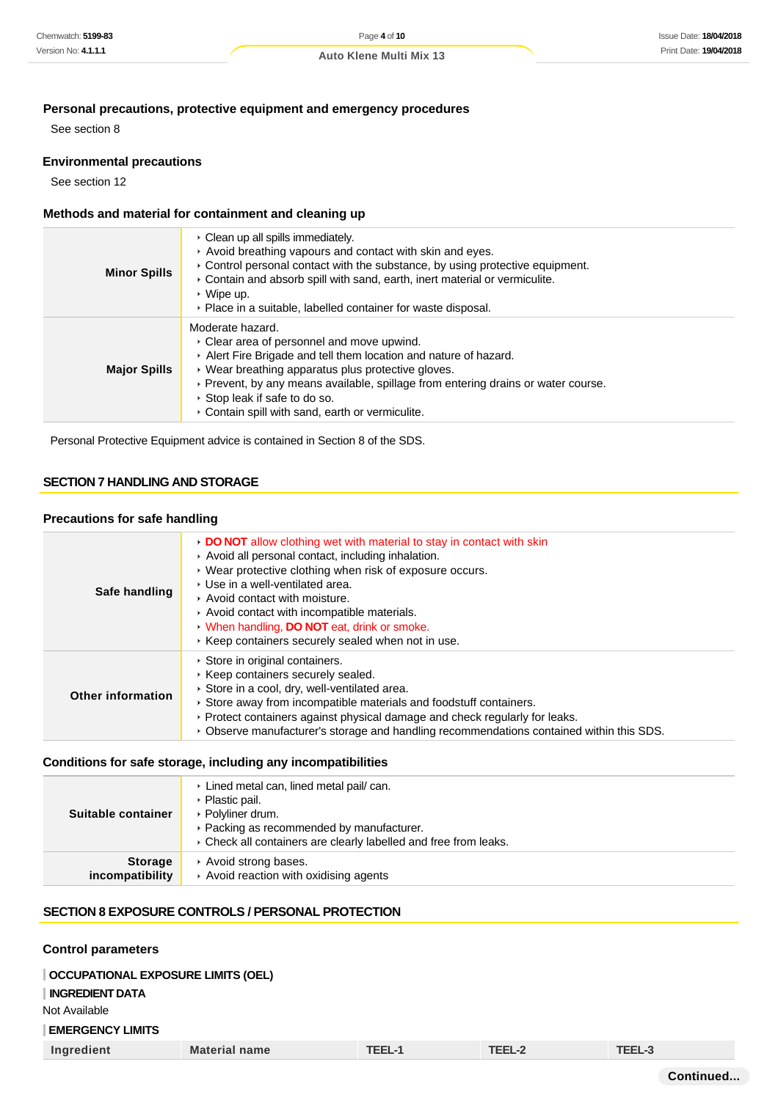# **Personal precautions, protective equipment and emergency procedures**

See section 8

#### **Environmental precautions**

See section 12

#### **Methods and material for containment and cleaning up**

| <b>Minor Spills</b> | • Clean up all spills immediately.<br>Avoid breathing vapours and contact with skin and eyes.<br>► Control personal contact with the substance, by using protective equipment.<br>Contain and absorb spill with sand, earth, inert material or vermiculite.<br>$\cdot$ Wipe up.<br>• Place in a suitable, labelled container for waste disposal.                |
|---------------------|-----------------------------------------------------------------------------------------------------------------------------------------------------------------------------------------------------------------------------------------------------------------------------------------------------------------------------------------------------------------|
| <b>Major Spills</b> | Moderate hazard.<br>▸ Clear area of personnel and move upwind.<br>Alert Fire Brigade and tell them location and nature of hazard.<br>▸ Wear breathing apparatus plus protective gloves.<br>▶ Prevent, by any means available, spillage from entering drains or water course.<br>▸ Stop leak if safe to do so.<br>Contain spill with sand, earth or vermiculite. |

Personal Protective Equipment advice is contained in Section 8 of the SDS.

# **SECTION 7 HANDLING AND STORAGE**

#### **Precautions for safe handling**

| Safe handling            | • DO NOT allow clothing wet with material to stay in contact with skin<br>Avoid all personal contact, including inhalation.<br>▶ Wear protective clothing when risk of exposure occurs.<br>▶ Use in a well-ventilated area.<br>Avoid contact with moisture.<br>Avoid contact with incompatible materials.<br>• When handling, DO NOT eat, drink or smoke.<br>Keep containers securely sealed when not in use. |
|--------------------------|---------------------------------------------------------------------------------------------------------------------------------------------------------------------------------------------------------------------------------------------------------------------------------------------------------------------------------------------------------------------------------------------------------------|
| <b>Other information</b> | Store in original containers.<br>▶ Keep containers securely sealed.<br>Store in a cool, dry, well-ventilated area.<br>Store away from incompatible materials and foodstuff containers.<br>▶ Protect containers against physical damage and check regularly for leaks.<br>▶ Observe manufacturer's storage and handling recommendations contained within this SDS.                                             |

#### **Conditions for safe storage, including any incompatibilities**

| Suitable container<br><b>Storage</b> | ▶ Plastic pail.<br>▶ Polyliner drum.<br>▶ Packing as recommended by manufacturer.<br>▸ Check all containers are clearly labelled and free from leaks.<br>Avoid strong bases. |
|--------------------------------------|------------------------------------------------------------------------------------------------------------------------------------------------------------------------------|
| incompatibility                      | Avoid reaction with oxidising agents                                                                                                                                         |

#### **SECTION 8 EXPOSURE CONTROLS / PERSONAL PROTECTION**

#### **Control parameters**

#### **OCCUPATIONAL EXPOSURE LIMITS (OEL)**

# **INGREDIENT DATA**

Not Available

### **EMERGENCY LIMITS**

| Ingredient<br><b>Material name</b> | <b>TEEL-1</b> | TEEL-2 | TEEL-3 |
|------------------------------------|---------------|--------|--------|
|------------------------------------|---------------|--------|--------|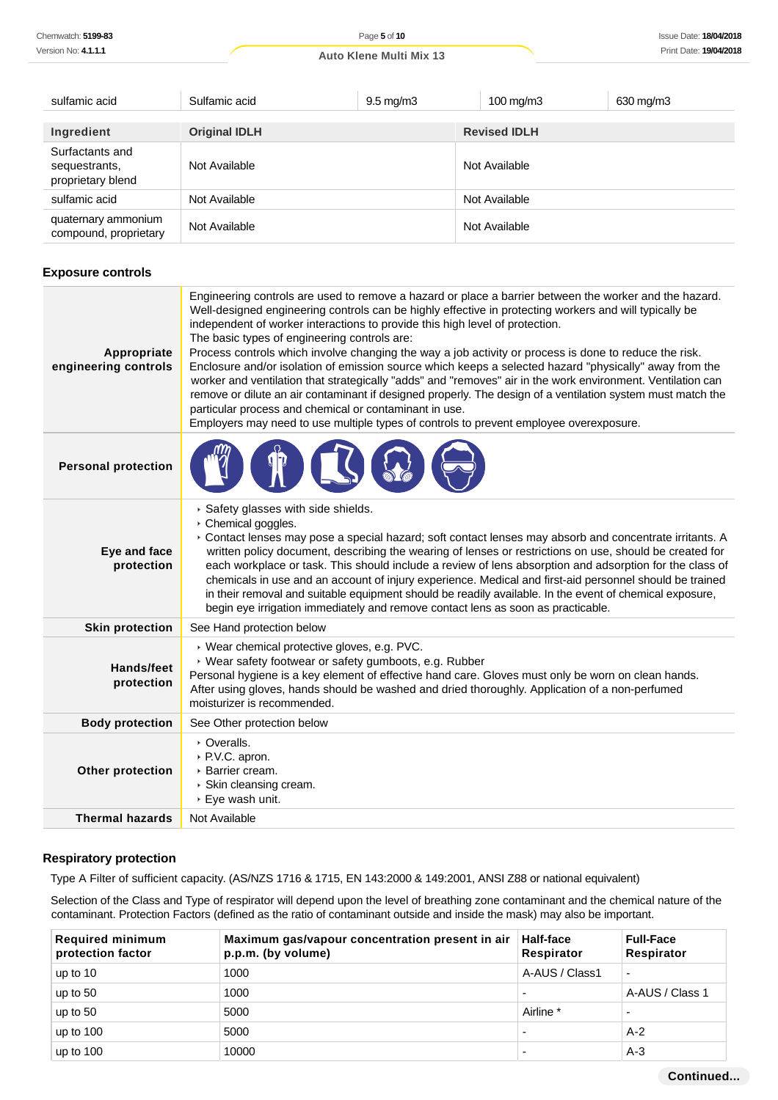| sulfamic acid                                         | Sulfamic acid        | $9.5 \text{ mg/m}$ 3 | $100 \text{ mg/m}$ 3 | 630 mg/m3 |
|-------------------------------------------------------|----------------------|----------------------|----------------------|-----------|
|                                                       |                      |                      |                      |           |
| Ingredient                                            | <b>Original IDLH</b> |                      | <b>Revised IDLH</b>  |           |
| Surfactants and<br>sequestrants,<br>proprietary blend | Not Available        |                      | Not Available        |           |
| sulfamic acid                                         | Not Available        |                      | Not Available        |           |
| quaternary ammonium<br>compound, proprietary          | Not Available        |                      | Not Available        |           |

### **Exposure controls**

| Appropriate<br>engineering controls | Engineering controls are used to remove a hazard or place a barrier between the worker and the hazard.<br>Well-designed engineering controls can be highly effective in protecting workers and will typically be<br>independent of worker interactions to provide this high level of protection.<br>The basic types of engineering controls are:<br>Process controls which involve changing the way a job activity or process is done to reduce the risk.<br>Enclosure and/or isolation of emission source which keeps a selected hazard "physically" away from the<br>worker and ventilation that strategically "adds" and "removes" air in the work environment. Ventilation can<br>remove or dilute an air contaminant if designed properly. The design of a ventilation system must match the<br>particular process and chemical or contaminant in use.<br>Employers may need to use multiple types of controls to prevent employee overexposure. |
|-------------------------------------|-------------------------------------------------------------------------------------------------------------------------------------------------------------------------------------------------------------------------------------------------------------------------------------------------------------------------------------------------------------------------------------------------------------------------------------------------------------------------------------------------------------------------------------------------------------------------------------------------------------------------------------------------------------------------------------------------------------------------------------------------------------------------------------------------------------------------------------------------------------------------------------------------------------------------------------------------------|
| <b>Personal protection</b>          |                                                                                                                                                                                                                                                                                                                                                                                                                                                                                                                                                                                                                                                                                                                                                                                                                                                                                                                                                       |
| Eye and face<br>protection          | Safety glasses with side shields.<br>▶ Chemical goggles.<br>Contact lenses may pose a special hazard; soft contact lenses may absorb and concentrate irritants. A<br>written policy document, describing the wearing of lenses or restrictions on use, should be created for<br>each workplace or task. This should include a review of lens absorption and adsorption for the class of<br>chemicals in use and an account of injury experience. Medical and first-aid personnel should be trained<br>in their removal and suitable equipment should be readily available. In the event of chemical exposure,<br>begin eye irrigation immediately and remove contact lens as soon as practicable.                                                                                                                                                                                                                                                     |
| <b>Skin protection</b>              | See Hand protection below                                                                                                                                                                                                                                                                                                                                                                                                                                                                                                                                                                                                                                                                                                                                                                                                                                                                                                                             |
| <b>Hands/feet</b><br>protection     | ▶ Wear chemical protective gloves, e.g. PVC.<br>▶ Wear safety footwear or safety gumboots, e.g. Rubber<br>Personal hygiene is a key element of effective hand care. Gloves must only be worn on clean hands.<br>After using gloves, hands should be washed and dried thoroughly. Application of a non-perfumed<br>moisturizer is recommended.                                                                                                                                                                                                                                                                                                                                                                                                                                                                                                                                                                                                         |
| <b>Body protection</b>              | See Other protection below                                                                                                                                                                                                                                                                                                                                                                                                                                                                                                                                                                                                                                                                                                                                                                                                                                                                                                                            |
| Other protection                    | • Overalls.<br>▶ P.V.C. apron.<br>▶ Barrier cream.<br>▸ Skin cleansing cream.<br>▶ Eye wash unit.                                                                                                                                                                                                                                                                                                                                                                                                                                                                                                                                                                                                                                                                                                                                                                                                                                                     |
| <b>Thermal hazards</b>              | Not Available                                                                                                                                                                                                                                                                                                                                                                                                                                                                                                                                                                                                                                                                                                                                                                                                                                                                                                                                         |

### **Respiratory protection**

Type A Filter of sufficient capacity. (AS/NZS 1716 & 1715, EN 143:2000 & 149:2001, ANSI Z88 or national equivalent)

Selection of the Class and Type of respirator will depend upon the level of breathing zone contaminant and the chemical nature of the contaminant. Protection Factors (defined as the ratio of contaminant outside and inside the mask) may also be important.

| <b>Required minimum</b><br>protection factor | Maximum gas/vapour concentration present in air<br>p.p.m. (by volume) | <b>Half-face</b><br>Respirator | <b>Full-Face</b><br>Respirator |
|----------------------------------------------|-----------------------------------------------------------------------|--------------------------------|--------------------------------|
| up to $10$                                   | 1000                                                                  | A-AUS / Class1                 | $\blacksquare$                 |
| up to $50$                                   | 1000                                                                  |                                | A-AUS / Class 1                |
| up to $50$                                   | 5000                                                                  | Airline *                      | $\overline{\phantom{0}}$       |
| up to $100$                                  | 5000                                                                  |                                | $A-2$                          |
| up to $100$                                  | 10000                                                                 |                                | $A-3$                          |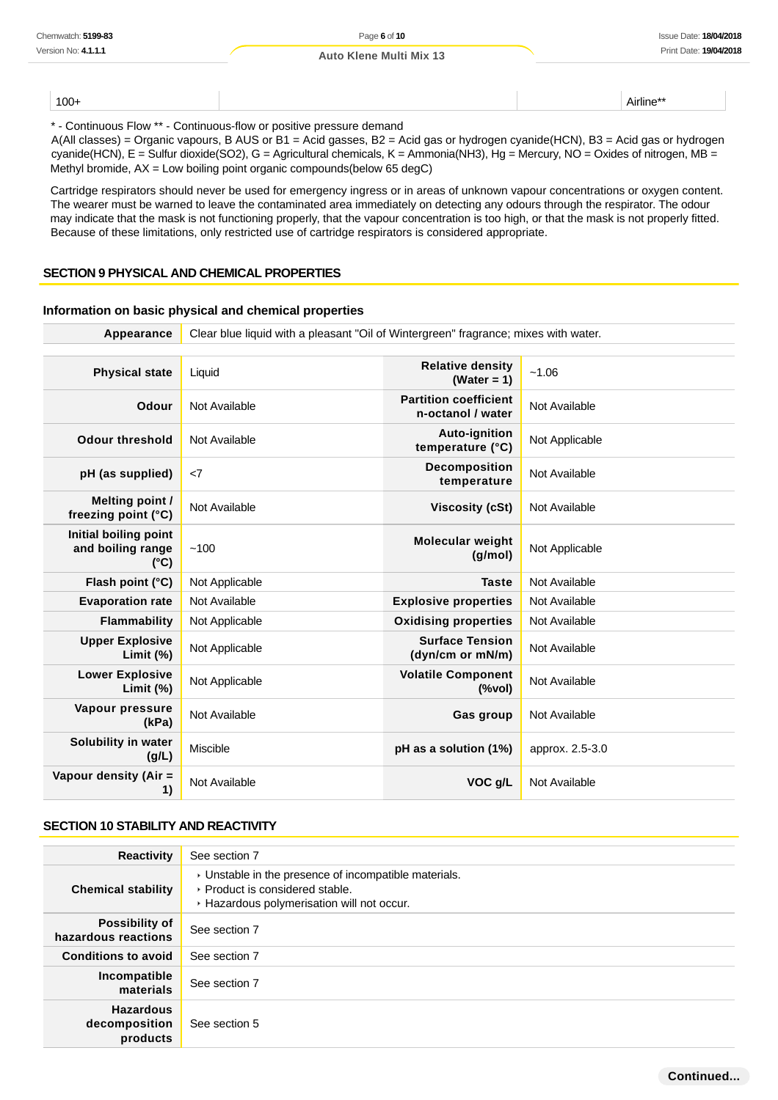100+ Airline\*\*

\* - Continuous Flow \*\* - Continuous-flow or positive pressure demand

A(All classes) = Organic vapours, B AUS or B1 = Acid gasses, B2 = Acid gas or hydrogen cyanide(HCN), B3 = Acid gas or hydrogen cyanide(HCN), E = Sulfur dioxide(SO2), G = Agricultural chemicals, K = Ammonia(NH3), Hg = Mercury, NO = Oxides of nitrogen, MB = Methyl bromide, AX = Low boiling point organic compounds(below 65 degC)

Cartridge respirators should never be used for emergency ingress or in areas of unknown vapour concentrations or oxygen content. The wearer must be warned to leave the contaminated area immediately on detecting any odours through the respirator. The odour may indicate that the mask is not functioning properly, that the vapour concentration is too high, or that the mask is not properly fitted. Because of these limitations, only restricted use of cartridge respirators is considered appropriate.

#### **SECTION 9 PHYSICAL AND CHEMICAL PROPERTIES**

#### **Information on basic physical and chemical properties**

| Appearance                                                  | Clear blue liquid with a pleasant "Oil of Wintergreen" fragrance; mixes with water. |                                                   |                 |
|-------------------------------------------------------------|-------------------------------------------------------------------------------------|---------------------------------------------------|-----------------|
|                                                             |                                                                                     |                                                   |                 |
| <b>Physical state</b>                                       | Liquid                                                                              | <b>Relative density</b><br>$(Water = 1)$          | ~1.06           |
| <b>Odour</b>                                                | Not Available                                                                       | <b>Partition coefficient</b><br>n-octanol / water | Not Available   |
| <b>Odour threshold</b>                                      | Not Available                                                                       | <b>Auto-ignition</b><br>temperature (°C)          | Not Applicable  |
| pH (as supplied)                                            | $\langle 7$                                                                         | <b>Decomposition</b><br>temperature               | Not Available   |
| Melting point /<br>freezing point (°C)                      | Not Available                                                                       | <b>Viscosity (cSt)</b>                            | Not Available   |
| Initial boiling point<br>and boiling range<br>$(^{\circ}C)$ | ~100                                                                                | <b>Molecular weight</b><br>(g/mol)                | Not Applicable  |
| Flash point (°C)                                            | Not Applicable                                                                      | <b>Taste</b>                                      | Not Available   |
| <b>Evaporation rate</b>                                     | Not Available                                                                       | <b>Explosive properties</b>                       | Not Available   |
| Flammability                                                | Not Applicable                                                                      | <b>Oxidising properties</b>                       | Not Available   |
| <b>Upper Explosive</b><br>Limit $(\%)$                      | Not Applicable                                                                      | <b>Surface Tension</b><br>(dyn/cm or mN/m)        | Not Available   |
| <b>Lower Explosive</b><br>Limit $(\%)$                      | Not Applicable                                                                      | <b>Volatile Component</b><br>$(\%$ vol)           | Not Available   |
| Vapour pressure<br>(kPa)                                    | Not Available                                                                       | Gas group                                         | Not Available   |
| Solubility in water<br>(g/L)                                | <b>Miscible</b>                                                                     | pH as a solution (1%)                             | approx. 2.5-3.0 |
| Vapour density (Air =<br>1)                                 | Not Available                                                                       | VOC g/L                                           | Not Available   |

#### **SECTION 10 STABILITY AND REACTIVITY**

| <b>Reactivity</b>                             | See section 7                                                                                                                          |
|-----------------------------------------------|----------------------------------------------------------------------------------------------------------------------------------------|
| <b>Chemical stability</b>                     | • Unstable in the presence of incompatible materials.<br>▶ Product is considered stable.<br>▶ Hazardous polymerisation will not occur. |
| <b>Possibility of</b><br>hazardous reactions  | See section 7                                                                                                                          |
| <b>Conditions to avoid</b>                    | See section 7                                                                                                                          |
| Incompatible<br>materials                     | See section 7                                                                                                                          |
| <b>Hazardous</b><br>decomposition<br>products | See section 5                                                                                                                          |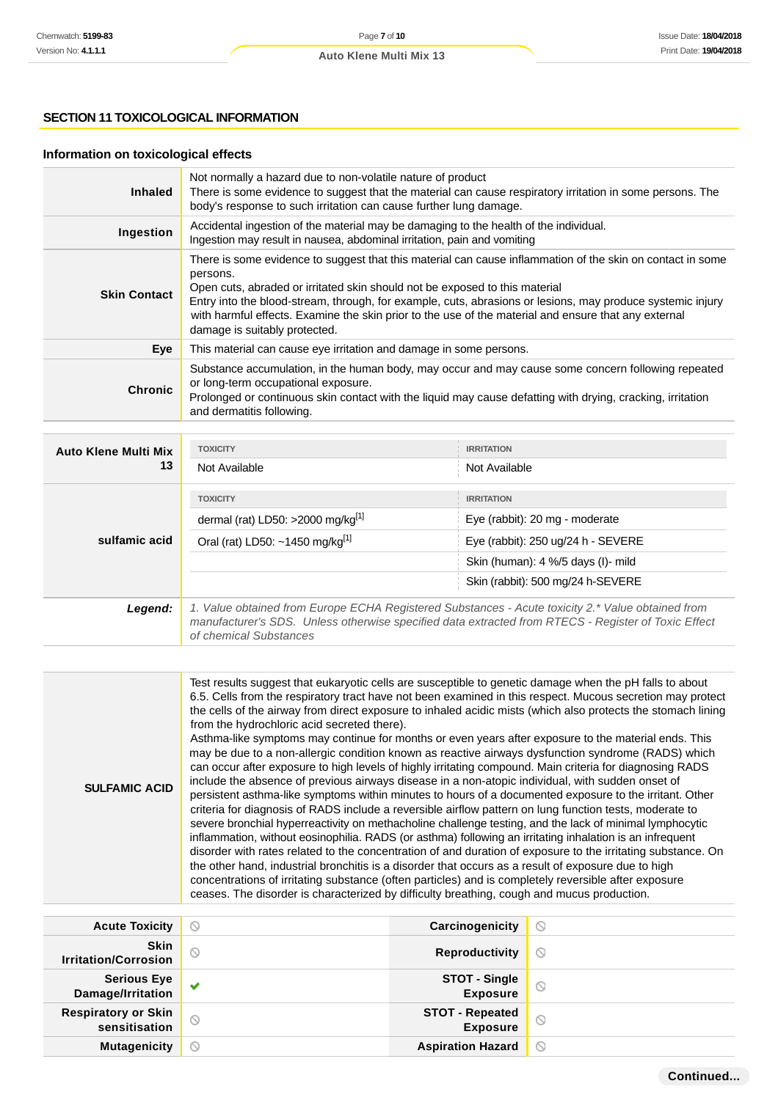# **SECTION 11 TOXICOLOGICAL INFORMATION**

# **Information on toxicological effects**

| <b>Inhaled</b>      | Not normally a hazard due to non-volatile nature of product<br>There is some evidence to suggest that the material can cause respiratory irritation in some persons. The<br>body's response to such irritation can cause further lung damage.                                                                                                                                                                                                                |
|---------------------|--------------------------------------------------------------------------------------------------------------------------------------------------------------------------------------------------------------------------------------------------------------------------------------------------------------------------------------------------------------------------------------------------------------------------------------------------------------|
| Ingestion           | Accidental ingestion of the material may be damaging to the health of the individual.<br>Ingestion may result in nausea, abdominal irritation, pain and vomiting                                                                                                                                                                                                                                                                                             |
| <b>Skin Contact</b> | There is some evidence to suggest that this material can cause inflammation of the skin on contact in some<br>persons.<br>Open cuts, abraded or irritated skin should not be exposed to this material<br>Entry into the blood-stream, through, for example, cuts, abrasions or lesions, may produce systemic injury<br>with harmful effects. Examine the skin prior to the use of the material and ensure that any external<br>damage is suitably protected. |
| Eye                 | This material can cause eye irritation and damage in some persons.                                                                                                                                                                                                                                                                                                                                                                                           |
| <b>Chronic</b>      | Substance accumulation, in the human body, may occur and may cause some concern following repeated<br>or long-term occupational exposure.<br>Prolonged or continuous skin contact with the liquid may cause defatting with drying, cracking, irritation<br>and dermatitis following.                                                                                                                                                                         |

| <b>Auto Klene Multi Mix</b> | <b>TOXICITY</b>                                                                                                                                                                                                                    | <b>IRRITATION</b>                  |  |
|-----------------------------|------------------------------------------------------------------------------------------------------------------------------------------------------------------------------------------------------------------------------------|------------------------------------|--|
| 13                          | Not Available                                                                                                                                                                                                                      | Not Available                      |  |
|                             | <b>TOXICITY</b>                                                                                                                                                                                                                    | <b>IRRITATION</b>                  |  |
|                             | dermal (rat) LD50: >2000 mg/kg $[1]$                                                                                                                                                                                               | Eye (rabbit): 20 mg - moderate     |  |
| sulfamic acid               | Oral (rat) LD50: ~1450 mg/kg <sup>[1]</sup>                                                                                                                                                                                        | Eye (rabbit): 250 ug/24 h - SEVERE |  |
|                             |                                                                                                                                                                                                                                    | Skin (human): 4 %/5 days (I)- mild |  |
|                             |                                                                                                                                                                                                                                    | Skin (rabbit): 500 mg/24 h-SEVERE  |  |
| Legend:                     | 1. Value obtained from Europe ECHA Registered Substances - Acute toxicity 2.* Value obtained from<br>manufacturer's SDS. Unless otherwise specified data extracted from RTECS - Register of Toxic Effect<br>of chemical Substances |                                    |  |

| <b>SULFAMIC ACID</b> | Test results suggest that eukaryotic cells are susceptible to genetic damage when the pH falls to about<br>6.5. Cells from the respiratory tract have not been examined in this respect. Mucous secretion may protect<br>the cells of the airway from direct exposure to inhaled acidic mists (which also protects the stomach lining<br>from the hydrochloric acid secreted there).<br>Asthma-like symptoms may continue for months or even years after exposure to the material ends. This<br>may be due to a non-allergic condition known as reactive airways dysfunction syndrome (RADS) which<br>can occur after exposure to high levels of highly irritating compound. Main criteria for diagnosing RADS<br>include the absence of previous airways disease in a non-atopic individual, with sudden onset of<br>persistent asthma-like symptoms within minutes to hours of a documented exposure to the irritant. Other<br>criteria for diagnosis of RADS include a reversible airflow pattern on lung function tests, moderate to<br>severe bronchial hyperreactivity on methacholine challenge testing, and the lack of minimal lymphocytic<br>inflammation, without eosinophilia. RADS (or asthma) following an irritating inhalation is an infrequent<br>disorder with rates related to the concentration of and duration of exposure to the irritating substance. On<br>the other hand, industrial bronchitis is a disorder that occurs as a result of exposure due to high<br>concentrations of irritating substance (often particles) and is completely reversible after exposure<br>ceases. The disorder is characterized by difficulty breathing, cough and mucus production. |
|----------------------|----------------------------------------------------------------------------------------------------------------------------------------------------------------------------------------------------------------------------------------------------------------------------------------------------------------------------------------------------------------------------------------------------------------------------------------------------------------------------------------------------------------------------------------------------------------------------------------------------------------------------------------------------------------------------------------------------------------------------------------------------------------------------------------------------------------------------------------------------------------------------------------------------------------------------------------------------------------------------------------------------------------------------------------------------------------------------------------------------------------------------------------------------------------------------------------------------------------------------------------------------------------------------------------------------------------------------------------------------------------------------------------------------------------------------------------------------------------------------------------------------------------------------------------------------------------------------------------------------------------------------------------------------------------------------------------------|
|----------------------|----------------------------------------------------------------------------------------------------------------------------------------------------------------------------------------------------------------------------------------------------------------------------------------------------------------------------------------------------------------------------------------------------------------------------------------------------------------------------------------------------------------------------------------------------------------------------------------------------------------------------------------------------------------------------------------------------------------------------------------------------------------------------------------------------------------------------------------------------------------------------------------------------------------------------------------------------------------------------------------------------------------------------------------------------------------------------------------------------------------------------------------------------------------------------------------------------------------------------------------------------------------------------------------------------------------------------------------------------------------------------------------------------------------------------------------------------------------------------------------------------------------------------------------------------------------------------------------------------------------------------------------------------------------------------------------------|

| <b>Acute Toxicity</b>                       | $\circledcirc$ | Carcinogenicity                           | $\circ$             |
|---------------------------------------------|----------------|-------------------------------------------|---------------------|
| <b>Skin</b><br><b>Irritation/Corrosion</b>  | $\circ$        | <b>Reproductivity</b>                     | $\circ$             |
| Serious Eye<br>Damage/Irritation            | $\checkmark$   | <b>STOT - Single<br/>Exposure</b>         | $\circ$             |
| <b>Respiratory or Skin</b><br>sensitisation | $\circledcirc$ | <b>STOT - Repeated</b><br><b>Exposure</b> | $\circlearrowright$ |
| <b>Mutagenicity</b>                         | $\circledcirc$ | <b>Aspiration Hazard</b>                  | $\circ$             |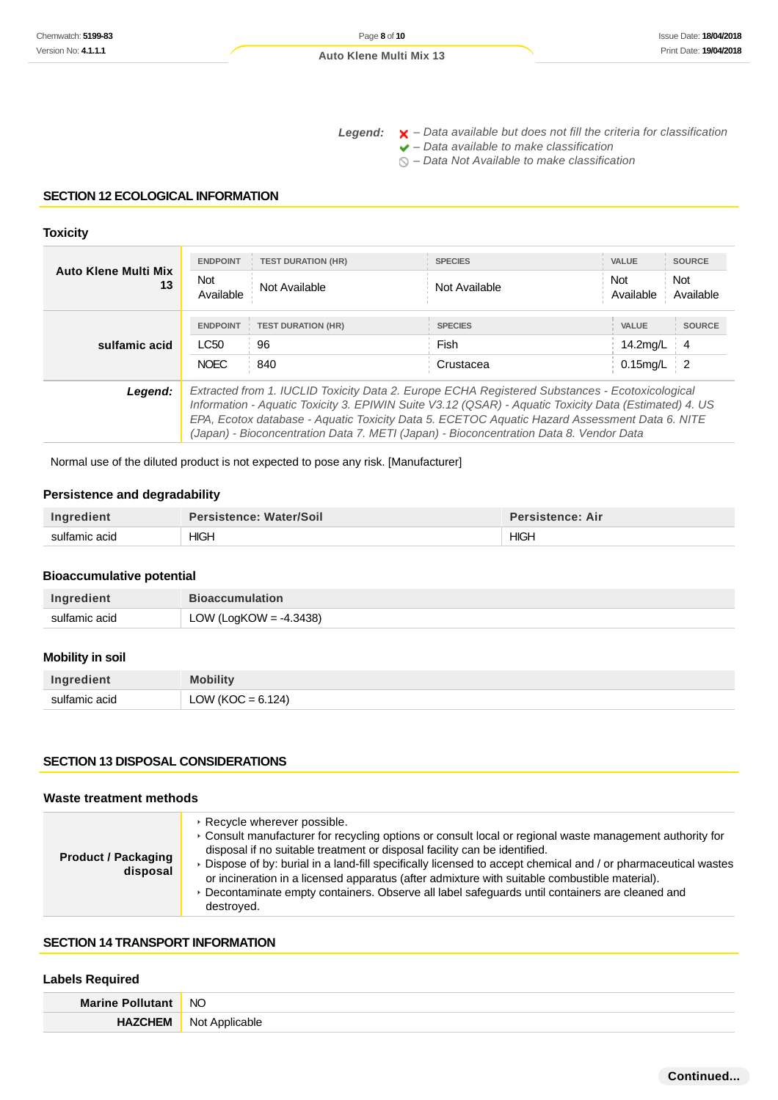Legend:  $\mathsf{X}$  - Data available but does not fill the criteria for classification

 $\blacktriangleright$  – Data available to make classification

 $\bigcirc$  – Data Not Available to make classification

#### **SECTION 12 ECOLOGICAL INFORMATION**

#### **Toxicity**

| <b>Auto Klene Multi Mix</b><br>13 | <b>ENDPOINT</b>                                                                                                                                                                                                                                                                                                                                                                                    | <b>TEST DURATION (HR)</b> | <b>SPECIES</b> | <b>VALUE</b>            | <b>SOURCE</b>           |
|-----------------------------------|----------------------------------------------------------------------------------------------------------------------------------------------------------------------------------------------------------------------------------------------------------------------------------------------------------------------------------------------------------------------------------------------------|---------------------------|----------------|-------------------------|-------------------------|
|                                   | Not<br>Available                                                                                                                                                                                                                                                                                                                                                                                   | Not Available             | Not Available  | <b>Not</b><br>Available | <b>Not</b><br>Available |
|                                   | <b>ENDPOINT</b>                                                                                                                                                                                                                                                                                                                                                                                    | <b>TEST DURATION (HR)</b> | <b>SPECIES</b> | <b>VALUE</b>            | <b>SOURCE</b>           |
| sulfamic acid                     | LC50                                                                                                                                                                                                                                                                                                                                                                                               | 96                        | Fish           | 14.2mg/L                | -4                      |
|                                   | <b>NOEC</b>                                                                                                                                                                                                                                                                                                                                                                                        | 840                       | Crustacea      | $0.15$ mg/L             | - 2                     |
| Legend:                           | Extracted from 1. IUCLID Toxicity Data 2. Europe ECHA Registered Substances - Ecotoxicological<br>Information - Aquatic Toxicity 3. EPIWIN Suite V3.12 (QSAR) - Aquatic Toxicity Data (Estimated) 4. US<br>EPA, Ecotox database - Aquatic Toxicity Data 5. ECETOC Aquatic Hazard Assessment Data 6. NITE<br>(Japan) - Bioconcentration Data 7. METI (Japan) - Bioconcentration Data 8. Vendor Data |                           |                |                         |                         |

Normal use of the diluted product is not expected to pose any risk. [Manufacturer]

#### **Persistence and degradability**

| Ingredient    | <b>Persistence: Water/Soil</b> | <b>Persistence: Air</b> |
|---------------|--------------------------------|-------------------------|
| sulfamic acid | <b>HIGH</b>                    | <b>HIGH</b>             |

#### **Bioaccumulative potential**

| Ingredient    | <b>Bioaccumulation</b> |
|---------------|------------------------|
| sulfamic acid | LOW (LogKOW = -4.3438) |

# **Mobility in soil**

| Ingredient    | <b>Mobility</b>      |
|---------------|----------------------|
| sulfamic acid | LOW (KOC = $6.124$ ) |

# **SECTION 13 DISPOSAL CONSIDERATIONS**

#### **Waste treatment methods**

| <b>Product / Packaging</b><br>disposal | ▶ Recycle wherever possible.<br>▶ Consult manufacturer for recycling options or consult local or regional waste management authority for<br>disposal if no suitable treatment or disposal facility can be identified.<br>Dispose of by: burial in a land-fill specifically licensed to accept chemical and / or pharmaceutical wastes<br>or incineration in a licensed apparatus (after admixture with suitable combustible material).<br>▶ Decontaminate empty containers. Observe all label safeguards until containers are cleaned and<br>destroved. |
|----------------------------------------|---------------------------------------------------------------------------------------------------------------------------------------------------------------------------------------------------------------------------------------------------------------------------------------------------------------------------------------------------------------------------------------------------------------------------------------------------------------------------------------------------------------------------------------------------------|
|----------------------------------------|---------------------------------------------------------------------------------------------------------------------------------------------------------------------------------------------------------------------------------------------------------------------------------------------------------------------------------------------------------------------------------------------------------------------------------------------------------------------------------------------------------------------------------------------------------|

#### **SECTION 14 TRANSPORT INFORMATION**

#### **Labels Required**

| <b>Marine P</b>  | <b>NO</b>  |
|------------------|------------|
| HAZ <sup>(</sup> | <b>Not</b> |
| 7EM              | ר olicable |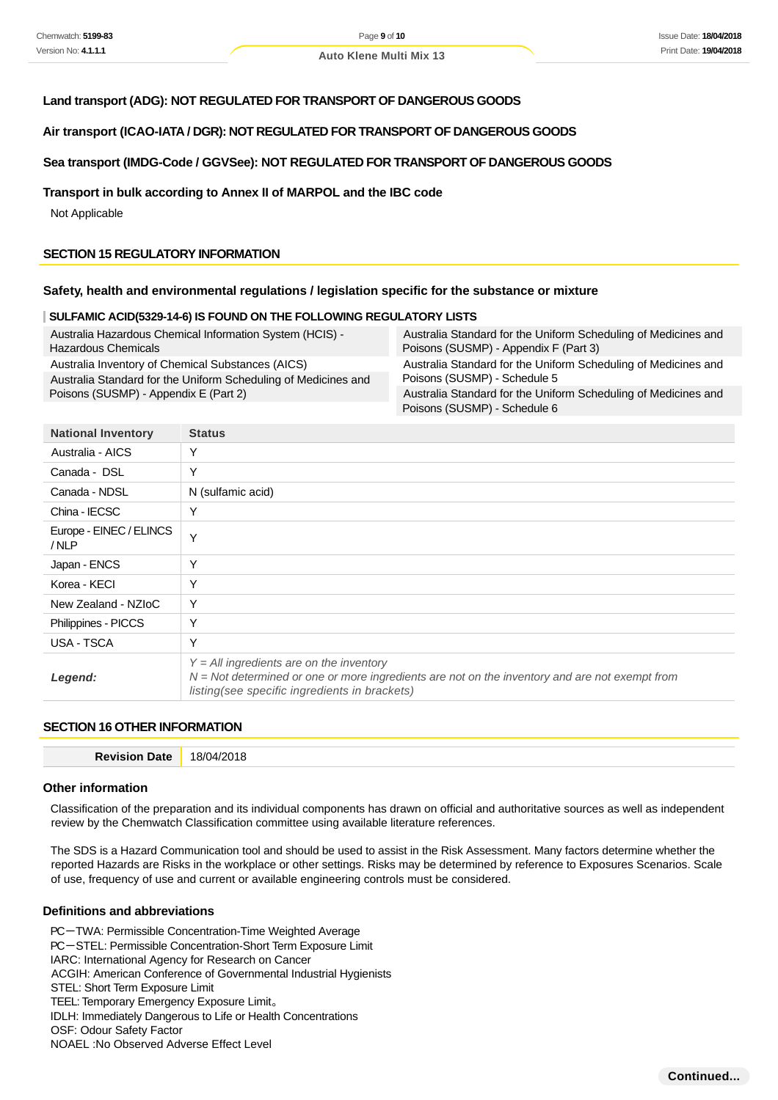#### **Land transport (ADG): NOT REGULATED FOR TRANSPORT OF DANGEROUS GOODS**

#### **Air transport (ICAO-IATA / DGR): NOT REGULATED FOR TRANSPORT OF DANGEROUS GOODS**

#### **Sea transport (IMDG-Code / GGVSee): NOT REGULATED FOR TRANSPORT OF DANGEROUS GOODS**

#### **Transport in bulk according to Annex II of MARPOL and the IBC code**

Not Applicable

#### **SECTION 15 REGULATORY INFORMATION**

#### **Safety, health and environmental regulations / legislation specific for the substance or mixture**

#### **SULFAMIC ACID(5329-14-6) IS FOUND ON THE FOLLOWING REGULATORY LISTS**

| Australia Hazardous Chemical Information System (HCIS) -       | Australia Standard for the Uniform Scheduling of Medicines and                                 |
|----------------------------------------------------------------|------------------------------------------------------------------------------------------------|
| <b>Hazardous Chemicals</b>                                     | Poisons (SUSMP) - Appendix F (Part 3)                                                          |
| Australia Inventory of Chemical Substances (AICS)              | Australia Standard for the Uniform Scheduling of Medicines and                                 |
| Australia Standard for the Uniform Scheduling of Medicines and | Poisons (SUSMP) - Schedule 5                                                                   |
| Poisons (SUSMP) - Appendix E (Part 2)                          | Australia Standard for the Uniform Scheduling of Medicines and<br>Poisons (SUSMP) - Schedule 6 |

| <b>National Inventory</b>       | <b>Status</b>                                                                                                                                                                                    |
|---------------------------------|--------------------------------------------------------------------------------------------------------------------------------------------------------------------------------------------------|
| Australia - AICS                | Y                                                                                                                                                                                                |
| Canada - DSL                    | Y                                                                                                                                                                                                |
| Canada - NDSL                   | N (sulfamic acid)                                                                                                                                                                                |
| China - IECSC                   | Υ                                                                                                                                                                                                |
| Europe - EINEC / ELINCS<br>/NLP | $\checkmark$                                                                                                                                                                                     |
| Japan - ENCS                    | Υ                                                                                                                                                                                                |
| Korea - KECI                    | Y                                                                                                                                                                                                |
| New Zealand - NZIoC             | Υ                                                                                                                                                                                                |
| Philippines - PICCS             | Υ                                                                                                                                                                                                |
| USA - TSCA                      | Y                                                                                                                                                                                                |
| Legend:                         | $Y = All$ ingredients are on the inventory<br>$N = Not$ determined or one or more ingredients are not on the inventory and are not exempt from<br>listing (see specific ingredients in brackets) |

# **SECTION 16 OTHER INFORMATION**

| . | . .<br>⌒<br>- - |
|---|-----------------|
|   |                 |

#### **Other information**

Classification of the preparation and its individual components has drawn on official and authoritative sources as well as independent review by the Chemwatch Classification committee using available literature references.

The SDS is a Hazard Communication tool and should be used to assist in the Risk Assessment. Many factors determine whether the reported Hazards are Risks in the workplace or other settings. Risks may be determined by reference to Exposures Scenarios. Scale of use, frequency of use and current or available engineering controls must be considered.

#### **Definitions and abbreviations**

PC-TWA: Permissible Concentration-Time Weighted Average PC-STEL: Permissible Concentration-Short Term Exposure Limit IARC: International Agency for Research on Cancer ACGIH: American Conference of Governmental Industrial Hygienists STEL: Short Term Exposure Limit TEEL: Temporary Emergency Exposure Limit。 IDLH: Immediately Dangerous to Life or Health Concentrations OSF: Odour Safety Factor NOAEL :No Observed Adverse Effect Level